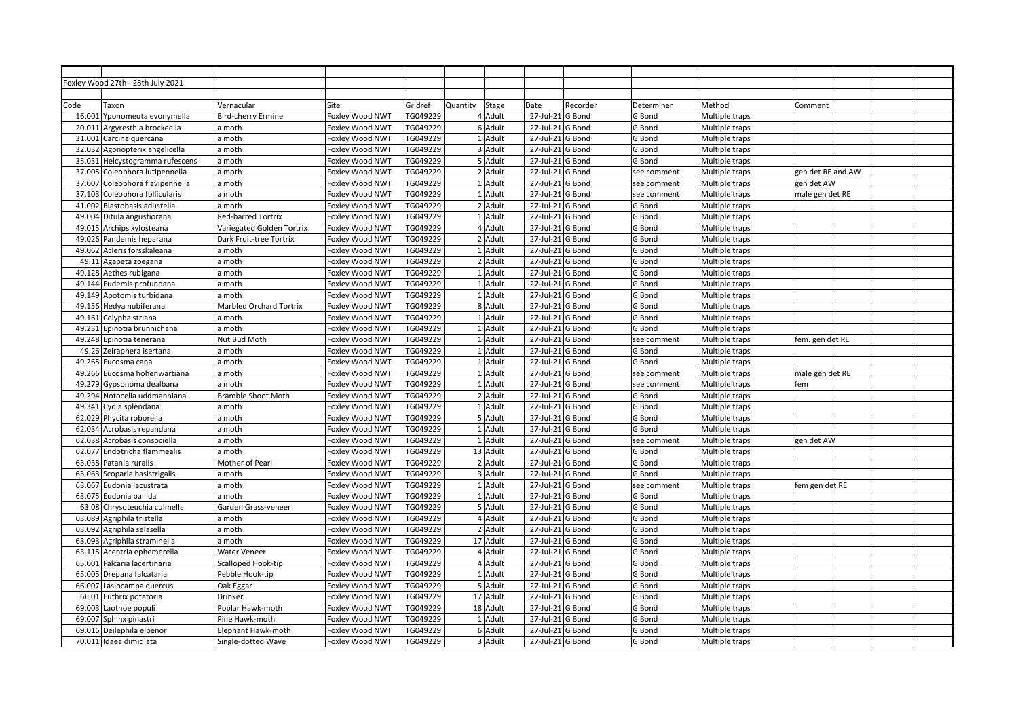|        | Foxley Wood 27th - 28th July 2021 |                                |                 |          |          |           |                                |          |             |                |                   |  |
|--------|-----------------------------------|--------------------------------|-----------------|----------|----------|-----------|--------------------------------|----------|-------------|----------------|-------------------|--|
|        |                                   |                                |                 |          |          |           |                                |          |             |                |                   |  |
| Code   | Taxon                             | Vernacular                     | Site            | Gridref  | Quantity | Stage     | Date                           | Recorder | Determiner  | Method         | Comment           |  |
| 16.001 | Yponomeuta evonymella             | <b>Bird-cherry Ermine</b>      | Foxley Wood NWT | TG049229 |          | 4 Adult   | 27-Jul-21 G Bond               |          | G Bond      | Multiple traps |                   |  |
| 20.011 | Argyresthia brockeella            | a moth                         | Foxley Wood NWT | TG049229 |          | 6 Adult   | 27-Jul-21 G Bond               |          | G Bond      | Multiple traps |                   |  |
| 31.001 | Carcina quercana                  | a moth                         | Foxley Wood NWT | TG049229 |          | 1 Adult   | 27-Jul-21 G Bond               |          | G Bond      | Multiple traps |                   |  |
|        | 32.032 Agonopterix angelicella    | a moth                         | Foxley Wood NWT | TG049229 |          | 3 Adult   | 27-Jul-21 G Bond               |          | G Bond      | Multiple traps |                   |  |
| 35.031 | Helcystogramma rufescens          | a moth                         | Foxley Wood NWT | TG049229 |          | 5 Adult   | 27-Jul-21 G Bond               |          | G Bond      | Multiple traps |                   |  |
| 37.005 | Coleophora lutipennella           | a moth                         | Foxley Wood NWT | TG049229 |          | 2 Adult   | $\overline{27}$ -Jul-21 G Bond |          | see comment | Multiple traps | gen det RE and AW |  |
| 37.007 | Coleophora flavipennella          | a moth                         | Foxley Wood NWT | TG049229 |          | 1 Adult   | 27-Jul-21 G Bond               |          | see comment | Multiple traps | gen det AW        |  |
|        | 37.103 Coleophora follicularis    | a moth                         | Foxley Wood NWT | TG049229 |          | 1 Adult   | 27-Jul-21 G Bond               |          | see comment | Multiple traps | male gen det RE   |  |
|        | 41.002 Blastobasis adustella      | a moth                         | Foxley Wood NWT | TG049229 |          | 2 Adult   | 27-Jul-21 G Bond               |          | G Bond      | Multiple traps |                   |  |
|        | 49.004 Ditula angustiorana        | <b>Red-barred Tortrix</b>      | Foxley Wood NWT | TG049229 |          | 1 Adult   | 27-Jul-21 G Bond               |          | G Bond      | Multiple traps |                   |  |
|        | 49.015 Archips xylosteana         | Variegated Golden Tortrix      | Foxley Wood NWT | TG049229 |          | 4 Adult   | 27-Jul-21 G Bond               |          | G Bond      | Multiple traps |                   |  |
|        | 49.026 Pandemis heparana          | Dark Fruit-tree Tortrix        | Foxley Wood NWT | TG049229 |          | 2 Adult   | 27-Jul-21 G Bond               |          | G Bond      | Multiple traps |                   |  |
| 49.062 | Acleris forsskaleana              | a moth                         | Foxley Wood NWT | TG049229 |          | 1 Adult   | 27-Jul-21 G Bond               |          | G Bond      | Multiple traps |                   |  |
| 49.11  | Agapeta zoegana                   | a moth                         | Foxley Wood NWT | TG049229 |          | 2 Adult   | 27-Jul-21 G Bond               |          | G Bond      | Multiple traps |                   |  |
|        | 49.128 Aethes rubigana            | a moth                         | Foxley Wood NWT | TG049229 |          | $1$ Adult | 27-Jul-21 G Bond               |          | G Bond      | Multiple traps |                   |  |
|        | 49.144 Eudemis profundana         | a moth                         | Foxley Wood NWT | TG049229 |          | 1 Adult   | 27-Jul-21 G Bond               |          | G Bond      | Multiple traps |                   |  |
|        | 49.149 Apotomis turbidana         | a moth                         | Foxley Wood NWT | TG049229 |          | 1 Adult   | 27-Jul-21 G Bond               |          | G Bond      | Multiple traps |                   |  |
|        | 49.156 Hedya nubiferana           | <b>Marbled Orchard Tortrix</b> | Foxley Wood NWT | TG049229 |          | 8 Adult   | 27-Jul-21 G Bond               |          | G Bond      | Multiple traps |                   |  |
|        | 49.161 Celypha striana            | a moth                         | Foxley Wood NWT | TG049229 |          | 1 Adult   | 27-Jul-21 G Bond               |          | G Bond      | Multiple traps |                   |  |
|        | 49.231 Epinotia brunnichana       | a moth                         | Foxley Wood NWT | TG049229 |          | 1 Adult   | 27-Jul-21 G Bond               |          | G Bond      | Multiple traps |                   |  |
|        | 49.248 Epinotia tenerana          | Nut Bud Moth                   | Foxley Wood NWT | TG049229 |          | 1 Adult   | 27-Jul-21 G Bond               |          | see comment | Multiple traps | fem. gen det RE   |  |
|        | 49.26 Zeiraphera isertana         | a moth                         | Foxley Wood NWT | TG049229 |          | $1$ Adult | 27-Jul-21 G Bond               |          | G Bond      | Multiple traps |                   |  |
|        | 49.265 Eucosma cana               | a moth                         | Foxley Wood NWT | TG049229 |          | 1 Adult   | 27-Jul-21 G Bond               |          | G Bond      | Multiple traps |                   |  |
|        | 49.266 Eucosma hohenwartiana      | a moth                         | Foxley Wood NWT | TG049229 |          | 1 Adult   | 27-Jul-21 G Bond               |          | see comment | Multiple traps | male gen det RE   |  |
|        | 49.279 Gypsonoma dealbana         | a moth                         | Foxley Wood NWT | TG049229 |          | 1 Adult   | 27-Jul-21 G Bond               |          | see comment | Multiple traps | fem               |  |
|        | 49.294 Notocelia uddmanniana      | <b>Bramble Shoot Moth</b>      | Foxley Wood NWT | TG049229 |          | 2 Adult   | 27-Jul-21 G Bond               |          | G Bond      | Multiple traps |                   |  |
|        | 49.341 Cydia splendana            | a moth                         | Foxley Wood NWT | TG049229 |          | 1 Adult   | 27-Jul-21 G Bond               |          | G Bond      | Multiple traps |                   |  |
|        | 62.029 Phycita roborella          | a moth                         | Foxley Wood NWT | TG049229 |          | 5 Adult   | 27-Jul-21 G Bond               |          | G Bond      | Multiple traps |                   |  |
|        | 62.034 Acrobasis repandana        | a moth                         | Foxley Wood NWT | TG049229 |          | $1$ Adult | 27-Jul-21 G Bond               |          | G Bond      | Multiple traps |                   |  |
|        | 62.038 Acrobasis consociella      | a moth                         | Foxley Wood NWT | TG049229 |          | $1$ Adult | 27-Jul-21 G Bond               |          | see comment | Multiple traps | gen det AW        |  |
|        | 62.077 Endotricha flammealis      | a moth                         | Foxley Wood NWT | TG049229 |          | 13 Adult  | 27-Jul-21 G Bond               |          | G Bond      | Multiple traps |                   |  |
|        | 63.038 Patania ruralis            | Mother of Pearl                | Foxley Wood NWT | TG049229 |          | 2 Adult   | 27-Jul-21 G Bond               |          | G Bond      | Multiple traps |                   |  |
|        | 63.063 Scoparia basistrigalis     | a moth                         | Foxley Wood NWT | TG049229 |          | 3 Adult   | 27-Jul-21 G Bond               |          | G Bond      | Multiple traps |                   |  |
|        | 63.067 Eudonia lacustrata         | a moth                         | Foxley Wood NWT | TG049229 |          | 1 Adult   | 27-Jul-21 G Bond               |          | see comment | Multiple traps | fem gen det RE    |  |
|        | 63.075 Eudonia pallida            | a moth                         | Foxley Wood NWT | TG049229 |          | 1 Adult   | 27-Jul-21 G Bond               |          | G Bond      | Multiple traps |                   |  |
|        | 63.08 Chrysoteuchia culmella      | Garden Grass-veneer            | Foxley Wood NWT | TG049229 |          | 5 Adult   | 27-Jul-21 G Bond               |          | G Bond      | Multiple traps |                   |  |
| 63.089 | Agriphila tristella               | a moth                         | Foxley Wood NWT | TG049229 |          | 4 Adult   | 27-Jul-21 G Bond               |          | G Bond      | Multiple traps |                   |  |
|        | 63.092 Agriphila selasella        | a moth                         | Foxley Wood NWT | TG049229 |          | 2 Adult   | 27-Jul-21 G Bond               |          | G Bond      | Multiple traps |                   |  |
|        | 63.093 Agriphila straminella      | a moth                         | Foxley Wood NWT | TG049229 |          | 17 Adult  | 27-Jul-21 G Bond               |          | G Bond      | Multiple traps |                   |  |
|        | 63.115 Acentria ephemerella       | <b>Water Veneer</b>            | Foxley Wood NWT | TG049229 |          | 4 Adult   | 27-Jul-21 G Bond               |          | G Bond      | Multiple traps |                   |  |
|        | 65.001 Falcaria lacertinaria      | Scalloped Hook-tip             | Foxley Wood NWT | TG049229 |          | 4 Adult   | 27-Jul-21 G Bond               |          | G Bond      | Multiple traps |                   |  |
|        | 65.005 Drepana falcataria         | Pebble Hook-tip                | Foxley Wood NWT | TG049229 |          | 1 Adult   | 27-Jul-21 G Bond               |          | G Bond      | Multiple traps |                   |  |
|        | 66.007 Lasiocampa quercus         | Oak Eggar                      | Foxley Wood NWT | TG049229 |          | 5 Adult   | 27-Jul-21 G Bond               |          | G Bond      | Multiple traps |                   |  |
| 66.01  | Euthrix potatoria                 | Drinker                        | Foxley Wood NWT | TG049229 |          | 17 Adult  | 27-Jul-21 G Bond               |          | G Bond      | Multiple traps |                   |  |
|        | 69.003 Laothoe populi             | Poplar Hawk-moth               | Foxley Wood NWT | TG049229 |          | 18 Adult  | 27-Jul-21 G Bond               |          | G Bond      | Multiple traps |                   |  |
|        | 69.007 Sphinx pinastri            | Pine Hawk-moth                 | Foxley Wood NWT | TG049229 |          | 1 Adult   | 27-Jul-21 G Bond               |          | G Bond      | Multiple traps |                   |  |
|        | 69.016 Deilephila elpenor         | Elephant Hawk-moth             | Foxley Wood NWT | TG049229 |          | 6 Adult   | 27-Jul-21 G Bond               |          | G Bond      | Multiple traps |                   |  |
|        | 70.011 Idaea dimidiata            | Single-dotted Wave             | Foxley Wood NWT | TG049229 |          | 3 Adult   | $27$ -Jul-21 G Bond            |          | G Bond      | Multiple traps |                   |  |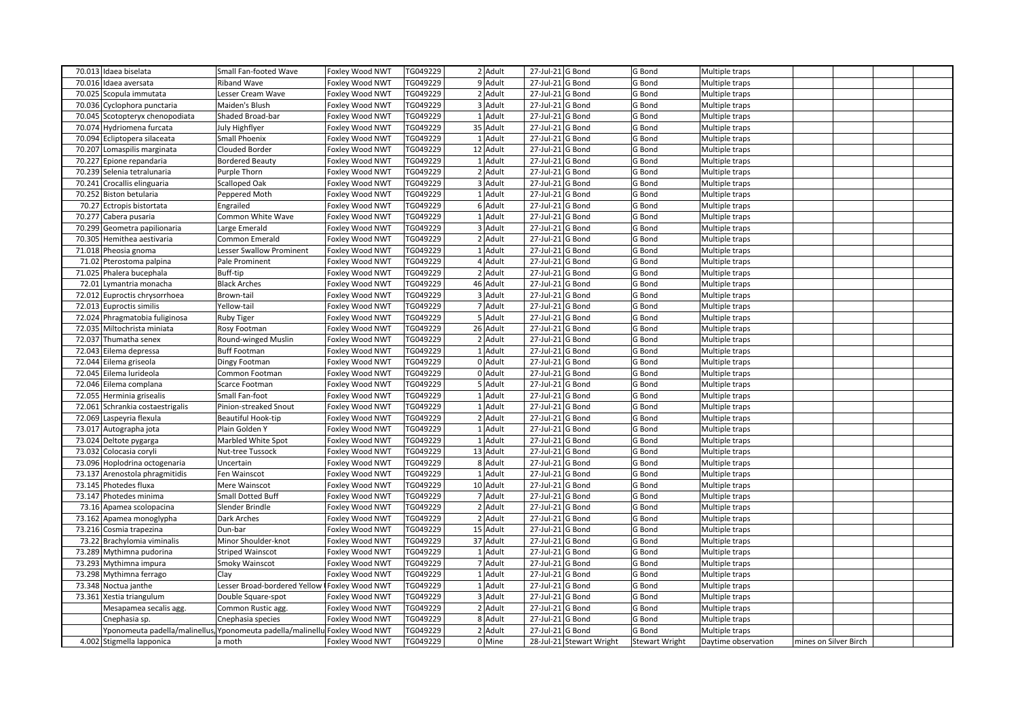|                                                                            |                                             |                                    | TG049229             | 2 Adult   |                                         |                          |                       |                     |                       |  |  |
|----------------------------------------------------------------------------|---------------------------------------------|------------------------------------|----------------------|-----------|-----------------------------------------|--------------------------|-----------------------|---------------------|-----------------------|--|--|
| 70.013 Idaea biselata<br>70.016 Idaea aversata                             | Small Fan-footed Wave<br><b>Riband Wave</b> | Foxley Wood NWT<br>Foxley Wood NWT | TG049229             | 9 Adult   | 27-Jul-21 G Bond<br>$27$ -Jul-21 G Bond |                          | G Bond                | Multiple traps      |                       |  |  |
|                                                                            |                                             |                                    | TG049229             | 2 Adult   |                                         |                          | G Bond                | Multiple traps      |                       |  |  |
| 70.025 Scopula immutata<br>70.036 Cyclophora punctaria                     | Lesser Cream Wave<br>Maiden's Blush         | Foxley Wood NWT                    |                      | 3 Adult   | 27-Jul-21 G Bond                        |                          | G Bond                | Multiple traps      |                       |  |  |
|                                                                            |                                             | Foxley Wood NWT                    | TG049229<br>TG049229 | $1$ Adult | 27-Jul-21 G Bond                        |                          | G Bond                | Multiple traps      |                       |  |  |
| 70.045 Scotopteryx chenopodiata                                            | Shaded Broad-bar                            | Foxley Wood NWT                    |                      |           | 27-Jul-21 G Bond                        |                          | G Bond                | Multiple traps      |                       |  |  |
| 70.074 Hydriomena furcata                                                  | July Highflyer                              | Foxley Wood NWT                    | TG049229             | 35 Adult  | 27-Jul-21 G Bond                        |                          | G Bond                | Multiple traps      |                       |  |  |
| 70.094 Ecliptopera silaceata                                               | Small Phoenix                               | Foxley Wood NWT                    | TG049229             | 1 Adult   | 27-Jul-21 G Bond                        |                          | G Bond                | Multiple traps      |                       |  |  |
| 70.207 Lomaspilis marginata                                                | Clouded Border                              | Foxley Wood NWT                    | TG049229             | 12 Adult  | 27-Jul-21 G Bond                        |                          | G Bond                | Multiple traps      |                       |  |  |
| 70.227 Epione repandaria                                                   | <b>Bordered Beauty</b>                      | Foxley Wood NWT                    | TG049229             | 1 Adult   | 27-Jul-21 G Bond                        |                          | G Bond                | Multiple traps      |                       |  |  |
| 70.239 Selenia tetralunaria                                                | Purple Thorn                                | Foxley Wood NWT                    | TG049229             | 2 Adult   | 27-Jul-21 G Bond                        |                          | G Bond                | Multiple traps      |                       |  |  |
| 70.241 Crocallis elinguaria                                                | <b>Scalloped Oak</b>                        | Foxley Wood NWT                    | TG049229             | 3 Adult   | 27-Jul-21 G Bond                        |                          | G Bond                | Multiple traps      |                       |  |  |
| 70.252 Biston betularia                                                    | Peppered Moth                               | Foxley Wood NWT                    | TG049229             | $1$ Adult | 27-Jul-21 G Bond                        |                          | G Bond                | Multiple traps      |                       |  |  |
| 70.27 Ectropis bistortata                                                  | Engrailed                                   | Foxley Wood NWT                    | TG049229             | 6 Adult   | 27-Jul-21 G Bond                        |                          | G Bond                | Multiple traps      |                       |  |  |
| 70.277 Cabera pusaria                                                      | Common White Wave                           | Foxley Wood NWT                    | TG049229             | 1 Adult   | 27-Jul-21 G Bond                        |                          | G Bond                | Multiple traps      |                       |  |  |
| 70.299 Geometra papilionaria                                               | Large Emerald                               | Foxley Wood NWT                    | TG049229             | 3 Adult   | 27-Jul-21 G Bond                        |                          | G Bond                | Multiple traps      |                       |  |  |
| 70.305 Hemithea aestivaria                                                 | Common Emerald                              | Foxley Wood NWT                    | TG049229             | 2 Adult   | 27-Jul-21 G Bond                        |                          | G Bond                | Multiple traps      |                       |  |  |
| 71.018 Pheosia gnoma                                                       | <b>Lesser Swallow Prominent</b>             | Foxley Wood NWT                    | TG049229             | 1 Adult   | 27-Jul-21 G Bond                        |                          | G Bond                | Multiple traps      |                       |  |  |
| 71.02 Pterostoma palpina                                                   | Pale Prominent                              | Foxley Wood NWT                    | TG049229             | 4 Adult   | 27-Jul-21 G Bond                        |                          | G Bond                | Multiple traps      |                       |  |  |
| 71.025 Phalera bucephala                                                   | Buff-tip                                    | Foxley Wood NWT                    | TG049229             | 2 Adult   | 27-Jul-21 G Bond                        |                          | G Bond                | Multiple traps      |                       |  |  |
| 72.01 Lymantria monacha                                                    | <b>Black Arches</b>                         | Foxley Wood NWT                    | TG049229             | 46 Adult  | 27-Jul-21 G Bond                        |                          | G Bond                | Multiple traps      |                       |  |  |
| 72.012 Euproctis chrysorrhoea                                              | Brown-tail                                  | Foxley Wood NWT                    | TG049229             | 3 Adult   | 27-Jul-21 G Bond                        |                          | G Bond                | Multiple traps      |                       |  |  |
| 72.013 Euproctis similis                                                   | Yellow-tail                                 | Foxley Wood NWT                    | TG049229             | 7 Adult   | 27-Jul-21 G Bond                        |                          | G Bond                | Multiple traps      |                       |  |  |
| 72.024 Phragmatobia fuliginosa                                             | <b>Ruby Tiger</b>                           | Foxley Wood NWT                    | TG049229             | 5 Adult   | 27-Jul-21 G Bond                        |                          | G Bond                | Multiple traps      |                       |  |  |
| 72.035 Miltochrista miniata                                                | Rosy Footman                                | Foxley Wood NWT                    | TG049229             | 26 Adult  | 27-Jul-21 G Bond                        |                          | G Bond                | Multiple traps      |                       |  |  |
| 72.037 Thumatha senex                                                      | Round-winged Muslin                         | Foxley Wood NWT                    | TG049229             | 2 Adult   | 27-Jul-21 G Bond                        |                          | G Bond                | Multiple traps      |                       |  |  |
| 72.043 Eilema depressa                                                     | <b>Buff Footman</b>                         | Foxley Wood NWT                    | TG049229             | 1 Adult   | 27-Jul-21 G Bond                        |                          | G Bond                | Multiple traps      |                       |  |  |
| 72.044 Eilema griseola                                                     | Dingy Footman                               | Foxley Wood NWT                    | TG049229             | 0 Adult   | 27-Jul-21 G Bond                        |                          | G Bond                | Multiple traps      |                       |  |  |
| 72.045 Eilema lurideola                                                    | Common Footman                              | Foxley Wood NWT                    | TG049229             | 0 Adult   | 27-Jul-21 G Bond                        |                          | G Bond                | Multiple traps      |                       |  |  |
| 72.046 Eilema complana                                                     | Scarce Footman                              | Foxley Wood NWT                    | TG049229             | 5 Adult   | 27-Jul-21 G Bond                        |                          | G Bond                | Multiple traps      |                       |  |  |
| 72.055 Herminia grisealis                                                  | Small Fan-foot                              | Foxley Wood NWT                    | TG049229             | 1 Adult   | 27-Jul-21 G Bond                        |                          | G Bond                | Multiple traps      |                       |  |  |
| 72.061 Schrankia costaestrigalis                                           | Pinion-streaked Snout                       | Foxley Wood NWT                    | TG049229             | 1 Adult   | 27-Jul-21 G Bond                        |                          | G Bond                | Multiple traps      |                       |  |  |
| 72.069 Laspeyria flexula                                                   | Beautiful Hook-tip                          | Foxley Wood NWT                    | TG049229             | 2 Adult   | 27-Jul-21 G Bond                        |                          | G Bond                | Multiple traps      |                       |  |  |
| 73.017 Autographa jota                                                     | Plain Golden Y                              | Foxley Wood NWT                    | TG049229             | 1 Adult   | 27-Jul-21 G Bond                        |                          | G Bond                | Multiple traps      |                       |  |  |
| 73.024 Deltote pygarga                                                     | Marbled White Spot                          | Foxley Wood NWT                    | TG049229             | 1 Adult   | 27-Jul-21 G Bond                        |                          | G Bond                | Multiple traps      |                       |  |  |
| 73.032 Colocasia coryli                                                    | Nut-tree Tussock                            | Foxley Wood NWT                    | TG049229             | 13 Adult  | $27$ -Jul-21 G Bond                     |                          | G Bond                | Multiple traps      |                       |  |  |
| 73.096 Hoplodrina octogenaria                                              | Uncertain                                   | Foxley Wood NWT                    | TG049229             | 8 Adult   | 27-Jul-21 G Bond                        |                          | G Bond                | Multiple traps      |                       |  |  |
| 73.137 Arenostola phragmitidis                                             | Fen Wainscot                                | Foxley Wood NWT                    | TG049229             | 1 Adult   | 27-Jul-21 G Bond                        |                          | G Bond                | Multiple traps      |                       |  |  |
| 73.145 Photedes fluxa                                                      | Mere Wainscot                               | Foxley Wood NWT                    | TG049229             | 10 Adult  | 27-Jul-21 G Bond                        |                          | G Bond                | Multiple traps      |                       |  |  |
| 73.147 Photedes minima                                                     | <b>Small Dotted Buff</b>                    | Foxley Wood NWT                    | TG049229             | 7 Adult   | 27-Jul-21 G Bond                        |                          | G Bond                | Multiple traps      |                       |  |  |
| 73.16 Apamea scolopacina                                                   | Slender Brindle                             | Foxley Wood NWT                    | TG049229             | 2 Adult   | 27-Jul-21 G Bond                        |                          | G Bond                | Multiple traps      |                       |  |  |
| 73.162 Apamea monoglypha                                                   | Dark Arches                                 | Foxley Wood NWT                    | TG049229             | 2 Adult   | 27-Jul-21 G Bond                        |                          | G Bond                | Multiple traps      |                       |  |  |
| 73.216 Cosmia trapezina                                                    | Dun-bar                                     | Foxley Wood NWT                    | TG049229             | 15 Adult  | 27-Jul-21 G Bond                        |                          | G Bond                | Multiple traps      |                       |  |  |
| 73.22 Brachylomia viminalis                                                | Minor Shoulder-knot                         | Foxley Wood NWT                    | TG049229             | 37 Adult  | 27-Jul-21 G Bond                        |                          | G Bond                | Multiple traps      |                       |  |  |
| 73.289 Mythimna pudorina                                                   | <b>Striped Wainscot</b>                     | Foxley Wood NWT                    | TG049229             | $1$ Adult | 27-Jul-21 G Bond                        |                          | G Bond                | Multiple traps      |                       |  |  |
| 73.293 Mythimna impura                                                     | <b>Smoky Wainscot</b>                       | Foxley Wood NWT                    | TG049229             | 7 Adult   | 27-Jul-21 G Bond                        |                          | G Bond                | Multiple traps      |                       |  |  |
| 73.298 Mythimna ferrago                                                    | Clay                                        | Foxley Wood NWT                    | TG049229             | $1$ Adult | 27-Jul-21 G Bond                        |                          | G Bond                | Multiple traps      |                       |  |  |
| 73.348 Noctua janthe                                                       | Lesser Broad-bordered Yellow                | Foxley Wood NWT                    | TG049229             | 1 Adult   | $27$ -Jul-21 G Bond                     |                          | G Bond                | Multiple traps      |                       |  |  |
| 73.361 Xestia triangulum                                                   | Double Square-spot                          | Foxley Wood NWT                    | TG049229             | 3 Adult   | 27-Jul-21 G Bond                        |                          | G Bond                | Multiple traps      |                       |  |  |
| Mesapamea secalis agg.                                                     | Common Rustic agg                           | Foxley Wood NWT                    | TG049229             | 2 Adult   | 27-Jul-21 G Bond                        |                          | G Bond                | Multiple traps      |                       |  |  |
| Cnephasia sp.                                                              | Cnephasia species                           | Foxley Wood NWT                    | TG049229             | 8 Adult   | 27-Jul-21 G Bond                        |                          | G Bond                | Multiple traps      |                       |  |  |
| Yponomeuta padella/malinellus/Yponomeuta padella/malinellu Foxley Wood NWT |                                             |                                    | TG049229             | 2 Adult   | $27$ -Jul-21 G Bond                     |                          | G Bond                | Multiple traps      |                       |  |  |
| 4.002 Stigmella lapponica                                                  | a moth                                      | Foxley Wood NWT                    | TG049229             | $0$ Mine  |                                         | 28-Jul-21 Stewart Wright | <b>Stewart Wright</b> | Daytime observation | mines on Silver Birch |  |  |
|                                                                            |                                             |                                    |                      |           |                                         |                          |                       |                     |                       |  |  |